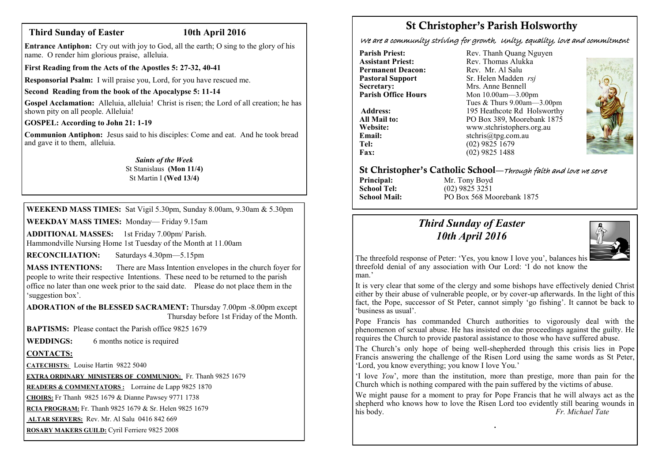## **Third Sunday of Easter 10th April 2016**

**Entrance Antiphon:** Cry out with joy to God, all the earth; O sing to the glory of his name. O render him glorious praise, alleluia.

**First Reading from the Acts of the Apostles 5: 27-32, 40-41**

**Responsorial Psalm:** I will praise you, Lord, for you have rescued me.

#### **Second Reading from the book of the Apocalypse 5: 11-14**

**Gospel Acclamation:** Alleluia, alleluia! Christ is risen; the Lord of all creation; he has shown pity on all people. Alleluia!

#### **GOSPEL: According to John 21: 1-19**

**Communion Antiphon:** Jesus said to his disciples: Come and eat. And he took bread and gave it to them, alleluia.

### *Saints of the Week*

St Stanislaus **(Mon 11/4)** St Martin I **(Wed 13/4)**

**WEEKEND MASS TIMES:** Sat Vigil 5.30pm, Sunday 8.00am, 9.30am & 5.30pm

**WEEKDAY MASS TIMES:** Monday— Friday 9.15am

**ADDITIONAL MASSES:** 1st Friday 7.00pm/ Parish. Hammondville Nursing Home 1st Tuesday of the Month at 11.00am

**RECONCILIATION:** Saturdays 4.30pm—5.15pm

**MASS INTENTIONS:** There are Mass Intention envelopes in the church foyer for people to write their respective Intentions. These need to be returned to the parish office no later than one week prior to the said date. Please do not place them in the 'suggestion box'.

**ADORATION of the BLESSED SACRAMENT:** Thursday 7.00pm -8.00pm except Thursday before 1st Friday of the Month.

**BAPTISMS:** Please contact the Parish office 9825 1679

**WEDDINGS:** 6 months notice is required

## **CONTACTS:**

**CATECHISTS:** Louise Hartin 9822 5040

**EXTRA ORDINARY MINISTERS OF COMMUNION:** Fr. Thanh 9825 1679

**READERS & COMMENTATORS :** Lorraine de Lapp 9825 1870

**CHOIRS:** Fr Thanh 9825 1679 & Dianne Pawsey 9771 1738

**RCIA PROGRAM:** Fr. Thanh 9825 1679 & Sr. Helen 9825 1679

**ALTAR SERVERS:** Rev. Mr. Al Salu 0416 842 669

**ROSARY MAKERS GUILD:** Cyril Ferriere 9825 2008

# **St Christopher's Parish Holsworthy**

We are a community striving for growth, Unity, equality, love and commitment

**Parish Priest:** Rev. Thanh Quang Nguyen<br> **Assistant Priest:** Rev. Thomas Alukka **Permanent Deacon:**<br>**Pastoral Support Secretary:** Mrs. Anne Bennell<br> **Parish Office Hours** Mon 10.00am - 3.00

Rev. Thomas Alukka<br>Rev. Mr. Al Salu **Pastoral Support** Sr. Helen Madden *rsj*<br>
Secretary: Mrs. Anne Bennell **Mon 10.00am—3.00pm** Tues & Thurs 9.00am—3.00pm Address: 195 Heathcote Rd Holsworthy **All Mail to:** PO Box 389, Moorebank 1875 **Website:** www.stchristophers.org.au<br> **Email:** stchris@tng.com au **Email:** stchris@tpg.com.au<br> **Tel:** (02) 9825 1679 **Tel:** (02) 9825 1679<br>**Fax:** (02) 9825 1488 **Fax:** (02) 9825 1488



# **St Christopher's Catholic School—**Through faith and love we serve

**Principal:** Mr. Tony Boyd<br> **School Tel:** (02) 9825 3251 **School Tel:** (02) 9825 3251 **School Mail:** PO Box 568 Moorebank 1875

# *Third Sunday of Easter 10th April 2016*



The threefold response of Peter: 'Yes, you know I love you', balances his threefold denial of any association with Our Lord: 'I do not know the man<sup>'</sup>

It is very clear that some of the clergy and some bishops have effectively denied Christ either by their abuse of vulnerable people, or by cover-up afterwards. In the light of this fact, the Pope, successor of St Peter, cannot simply 'go fishing'. It cannot be back to 'business as usual'.

Pope Francis has commanded Church authorities to vigorously deal with the phenomenon of sexual abuse. He has insisted on due proceedings against the guilty. He requires the Church to provide pastoral assistance to those who have suffered abuse.

The Church's only hope of being well-shepherded through this crisis lies in Pope Francis answering the challenge of the Risen Lord using the same words as St Peter, 'Lord, you know everything; you know I love You.'

'I love *You*', more than the institution, more than prestige, more than pain for the Church which is nothing compared with the pain suffered by the victims of abuse.

We might pause for a moment to pray for Pope Francis that he will always act as the shepherd who knows how to love the Risen Lord too evidently still bearing wounds in his body. *Fr. Michael Tate*

**.**